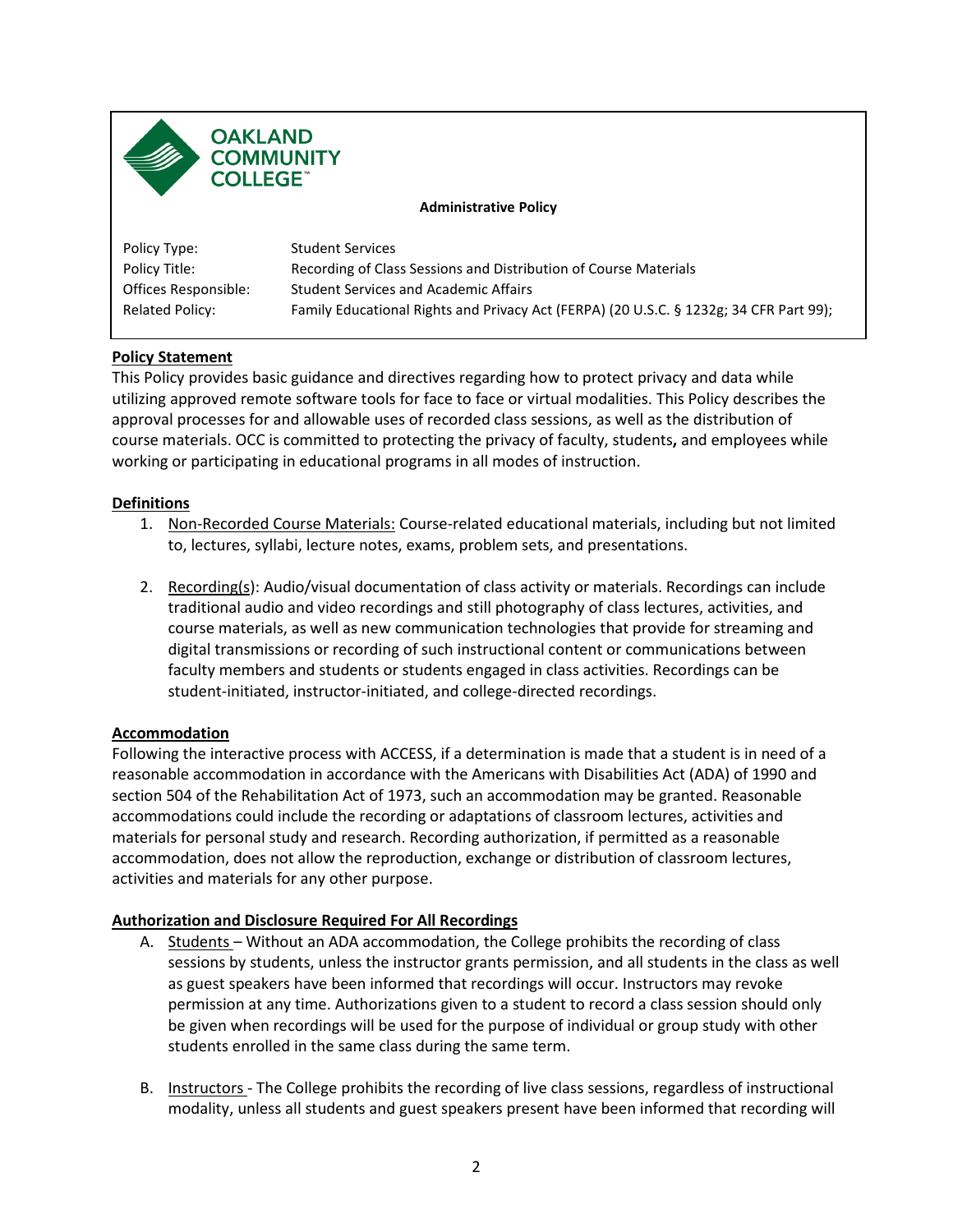



**Administrative Policy** 

| Policy Type:         | <b>Student Services</b>                                                                |
|----------------------|----------------------------------------------------------------------------------------|
| Policy Title:        | Recording of Class Sessions and Distribution of Course Materials                       |
| Offices Responsible: | <b>Student Services and Academic Affairs</b>                                           |
| Related Policy:      | Family Educational Rights and Privacy Act (FERPA) (20 U.S.C. § 1232g; 34 CFR Part 99); |

# **Policy Statement**

 working or participating in educational programs in all modes of instruction. This Policy provides basic guidance and directives regarding how to protect privacy and data while utilizing approved remote software tools for face to face or virtual modalities. This Policy describes the approval processes for and allowable uses of recorded class sessions, as well as the distribution of course materials. OCC is committed to protecting the privacy of faculty, students**,** and employees while

#### **Definitions**

- 1. Non-Recorded Course Materials: Course-related educational materials, including but not limited to, lectures, syllabi, lecture notes, exams, problem sets, and presentations.
- faculty members and students or students engaged in class activities. Recordings can be 2. Recording(s): Audio/visual documentation of class activity or materials. Recordings can include traditional audio and video recordings and still photography of class lectures, activities, and course materials, as well as new communication technologies that provide for streaming and digital transmissions or recording of such instructional content or communications between student-initiated, instructor-initiated, and college-directed recordings.

# **Accommodation**

 Following the interactive process with ACCESS, if a determination is made that a student is in need of a reasonable accommodation in accordance with the Americans with Disabilities Act (ADA) of 1990 and section 504 of the Rehabilitation Act of 1973, such an accommodation may be granted. Reasonable accommodation, does not allow the reproduction, exchange or distribution of classroom lectures, accommodations could include the recording or adaptations of classroom lectures, activities and materials for personal study and research. Recording authorization, if permitted as a reasonable activities and materials for any other purpose.

# **Authorization and Disclosure Required For All Recordings**

- A. Students Without an ADA accommodation, the College prohibits the recording of class as guest speakers have been informed that recordings will occur. Instructors may revoke be given when recordings will be used for the purpose of individual or group study with other students enrolled in the same class during the same term. sessions by students, unless the instructor grants permission, and all students in the class as well permission at any time. Authorizations given to a student to record a class session should only
- B. Instructors The College prohibits the recording of live class sessions, regardless of instructional modality, unless all students and guest speakers present have been informed that recording will